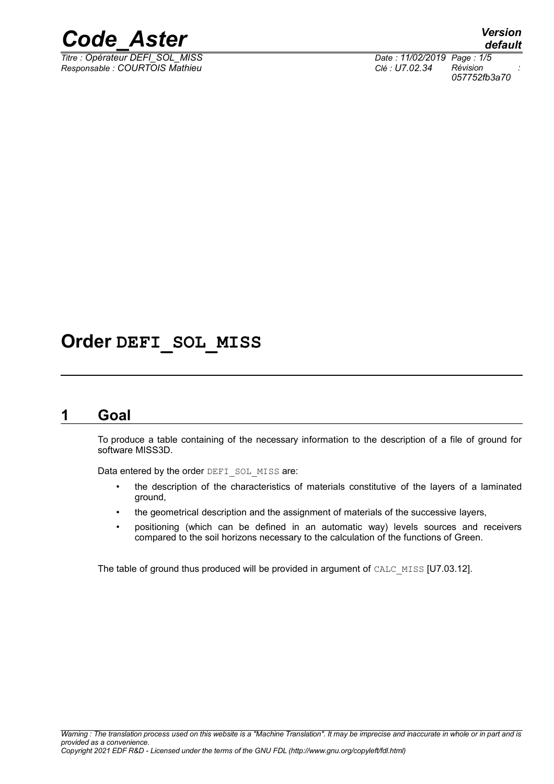

*Responsable : COURTOIS Mathieu Clé : U7.02.34 Révision :*

*default Titre : Opérateur DEFI\_SOL\_MISS Date : 11/02/2019 Page : 1/5 057752fb3a70*

# **Order DEFI\_SOL\_MISS**

## **1 Goal**

To produce a table containing of the necessary information to the description of a file of ground for software MISS3D.

Data entered by the order DEFI\_SOL\_MISS are:

- the description of the characteristics of materials constitutive of the layers of a laminated ground,
- the geometrical description and the assignment of materials of the successive layers,
- positioning (which can be defined in an automatic way) levels sources and receivers compared to the soil horizons necessary to the calculation of the functions of Green.

The table of ground thus produced will be provided in argument of CALC\_MISS [U7.03.12].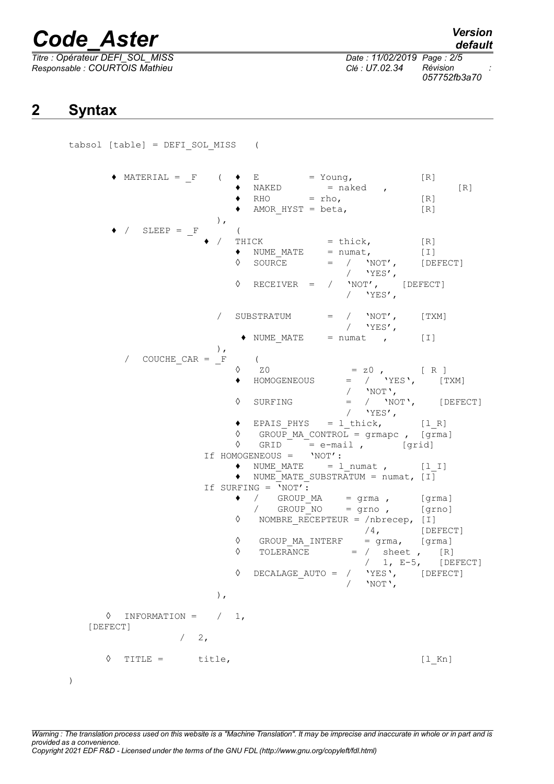# *Code\_Aster Version*

*Responsable : COURTOIS Mathieu Clé : U7.02.34 Révision :*

*Titre : Opérateur DEFI\_SOL\_MISS Date : 11/02/2019 Page : 2/5 057752fb3a70*

## **2 Syntax**

)

tabsol [table] = DEFI\_SOL\_MISS (

 $\blacklozenge$  MATERIAL = F (  $\blacklozenge$  E = Young, [R]  $\bullet$  NAKED = naked , [R]  $\bullet$  RHO = rho,  $[R]$  $\blacklozenge$  AMOR HYST = beta,  $[R]$ ),  $\angle$  SLEEP =  $\frac{F}{\sqrt{F}}$  (THICK  $CK$  = thick,  $[R]$ <br>  $NUME$   $MATE$  = numat,  $[I]$  $\bullet$  NUME MATE = numat,  $[1]$  $\Diamond$  SOURCE = / 'NOT', [DEFECT] / 'YES',<br>'NOT', [DEFECT]  $\Diamond$  RECEIVER = /  $/$  'YES',  $\angle$  SUBSTRATUM =  $\angle$  'NOT', [TXM]  $/$  'YES',  $\bullet$  NUME MATE = numat , [I] ),  $\text{COUCHE\_CAR} = \frac{F}{\lambda}$  (  $\sqrt{20}$  = z0, [R] ♦ HOMOGENEOUS = / 'YES', [TXM] / 'NOT',  $\Diamond$  SURFING = / 'NOT', [DEFECT]  $/$  'YES',  $\bullet$  EPAIS\_PHYS =  $l$ \_thick,  $[l_R]$  $\sqrt[6]{}$  GROUP MA CONTROL = grmapc, [grma] ◊ GRID = e-mail , [grid] If HOMOGENEOUS = 'NOT':  $\bullet$  NUME\_MATE =  $l$ \_numat ,  $[l\ I]$  $\bullet$  NUME MATE SUBSTRATUM = numat,  $[1]$ If SURFING  $=$   $\sqrt{NOT'}$ :  $\begin{array}{cccc} \bullet & / & \text{GROUP\_MA} & = \text{ grma} \end{array}$ , [grma]<br>
/ GROUP NO = grno, [grno] / GROUP NO = grno ,  $[grno]$ ◊ NOMBRE\_RECEPTEUR = /nbrecep, [I] /4, [DEFECT]  $\Diamond$  GROUP MA INTERF = grma, [grma]  $\sqrt{1, E-5}$  = / sheet , [R]<br>
/ 1, E-5, [DEFECT] /  $1, E-5,$ ◊ DECALAGE\_AUTO = / 'YES', [DEFECT]  $/$  'NOT', ),  $\Diamond$  INFORMATION =  $/ 1$ , [DEFECT]  $/2$ . ◊ TITLE = title, [l\_Kn]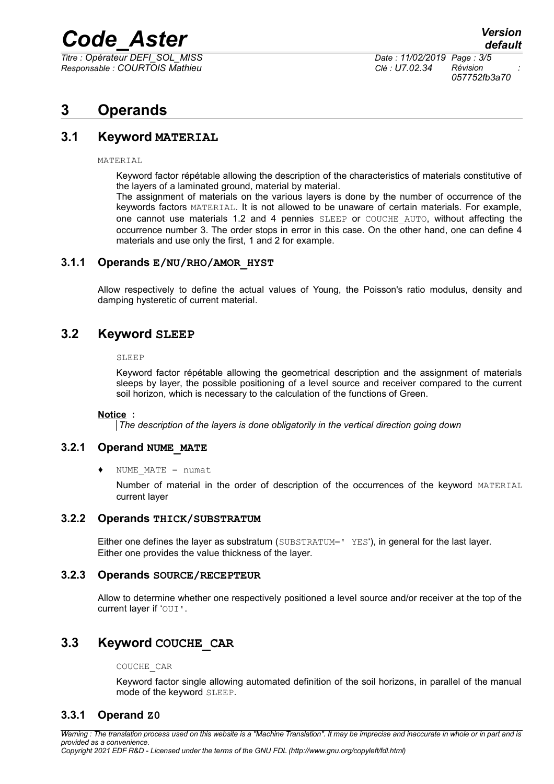# *Code\_Aster Version*

*Titre : Opérateur DEFI\_SOL\_MISS Date : 11/02/2019 Page : 3/5 Responsable : COURTOIS Mathieu Clé : U7.02.34 Révision :*

*057752fb3a70*

# **3 Operands**

## **3.1 Keyword MATERIAL**

MATERIAL

Keyword factor répétable allowing the description of the characteristics of materials constitutive of the layers of a laminated ground, material by material.

The assignment of materials on the various layers is done by the number of occurrence of the keywords factors MATERIAL. It is not allowed to be unaware of certain materials. For example, one cannot use materials 1.2 and 4 pennies SLEEP or COUCHE AUTO, without affecting the occurrence number 3. The order stops in error in this case. On the other hand, one can define 4 materials and use only the first, 1 and 2 for example.

### **3.1.1 Operands E/NU/RHO/AMOR\_HYST**

Allow respectively to define the actual values of Young, the Poisson's ratio modulus, density and damping hysteretic of current material.

## **3.2 Keyword SLEEP**

#### SLEEP

Keyword factor répétable allowing the geometrical description and the assignment of materials sleeps by layer, the possible positioning of a level source and receiver compared to the current soil horizon, which is necessary to the calculation of the functions of Green.

#### **Notice :**

*The description of the layers is done obligatorily in the vertical direction going down*

## **3.2.1 Operand NUME\_MATE**

NUME  $MATE = numat$ 

Number of material in the order of description of the occurrences of the keyword MATERIAL current layer

#### **3.2.2 Operands THICK/SUBSTRATUM**

Either one defines the layer as substratum (SUBSTRATUM=' YES'), in general for the last layer. Either one provides the value thickness of the layer.

### **3.2.3 Operands SOURCE/RECEPTEUR**

Allow to determine whether one respectively positioned a level source and/or receiver at the top of the current layer if 'OUI'.

## **3.3 Keyword COUCHE\_CAR**

COUCHE\_CAR

Keyword factor single allowing automated definition of the soil horizons, in parallel of the manual mode of the keyword SLEEP.

## **3.3.1 Operand Z0**

*Warning : The translation process used on this website is a "Machine Translation". It may be imprecise and inaccurate in whole or in part and is provided as a convenience. Copyright 2021 EDF R&D - Licensed under the terms of the GNU FDL (http://www.gnu.org/copyleft/fdl.html)*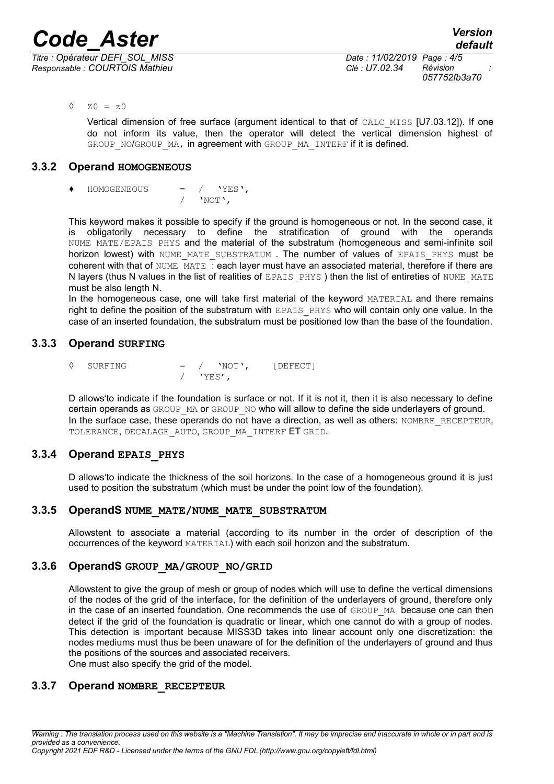*Responsable : COURTOIS Mathieu Clé : U7.02.34 Révision :*

*057752fb3a70*

 $\lozenge$   $\lozenge$  ZO =  $z0$ 

Vertical dimension of free surface (argument identical to that of CALC\_MISS [U7.03.12]). If one do not inform its value, then the operator will detect the vertical dimension highest of GROUP NO/GROUP MA, in agreement with GROUP MA INTERF if it is defined.

## **3.3.2 Operand HOMOGENEOUS**

 $HOMOGENEOUS$  = / 'YES',  $/$  'NOT',

This keyword makes it possible to specify if the ground is homogeneous or not. In the second case, it is obligatorily necessary to define the stratification of ground with the operands NUME MATE/EPAIS PHYS and the material of the substratum (homogeneous and semi-infinite soil horizon lowest) with NUME MATE SUBSTRATUM . The number of values of EPAIS PHYS must be coherent with that of NUME  $\overline{MATE}$  : each layer must have an associated material, therefore if there are N layers (thus N values in the list of realities of EPAIS PHYS) then the list of entireties of NUME\_MATE must be also length N.

In the homogeneous case, one will take first material of the keyword MATERIAL and there remains right to define the position of the substratum with EPAIS PHYS who will contain only one value. In the case of an inserted foundation, the substratum must be positioned low than the base of the foundation.

## **3.3.3 Operand SURFING**

 $\Diamond$  SURFING = / 'NOT', [DEFECT]  $/$  'YES',

D allows'to indicate if the foundation is surface or not. If it is not it, then it is also necessary to define certain operands as GROUP\_MA or GROUP\_NO who will allow to define the side underlayers of ground. In the surface case, these operands do not have a direction, as well as others: NOMBRE\_RECEPTEUR, TOLERANCE, DECALAGE AUTO, GROUP MA INTERF ET GRID.

## **3.3.4 Operand EPAIS\_PHYS**

D allows'to indicate the thickness of the soil horizons. In the case of a homogeneous ground it is just used to position the substratum (which must be under the point low of the foundation).

## **3.3.5 OperandS NUME\_MATE/NUME\_MATE\_SUBSTRATUM**

Allowstent to associate a material (according to its number in the order of description of the occurrences of the keyword MATERIAL) with each soil horizon and the substratum.

## **3.3.6 OperandS GROUP\_MA/GROUP\_NO/GRID**

Allowstent to give the group of mesh or group of nodes which will use to define the vertical dimensions of the nodes of the grid of the interface, for the definition of the underlayers of ground, therefore only in the case of an inserted foundation. One recommends the use of GROUP MA because one can then detect if the grid of the foundation is quadratic or linear, which one cannot do with a group of nodes. This detection is important because MISS3D takes into linear account only one discretization: the nodes mediums must thus be been unaware of for the definition of the underlayers of ground and thus the positions of the sources and associated receivers. One must also specify the grid of the model.

## **3.3.7 Operand NOMBRE\_RECEPTEUR**